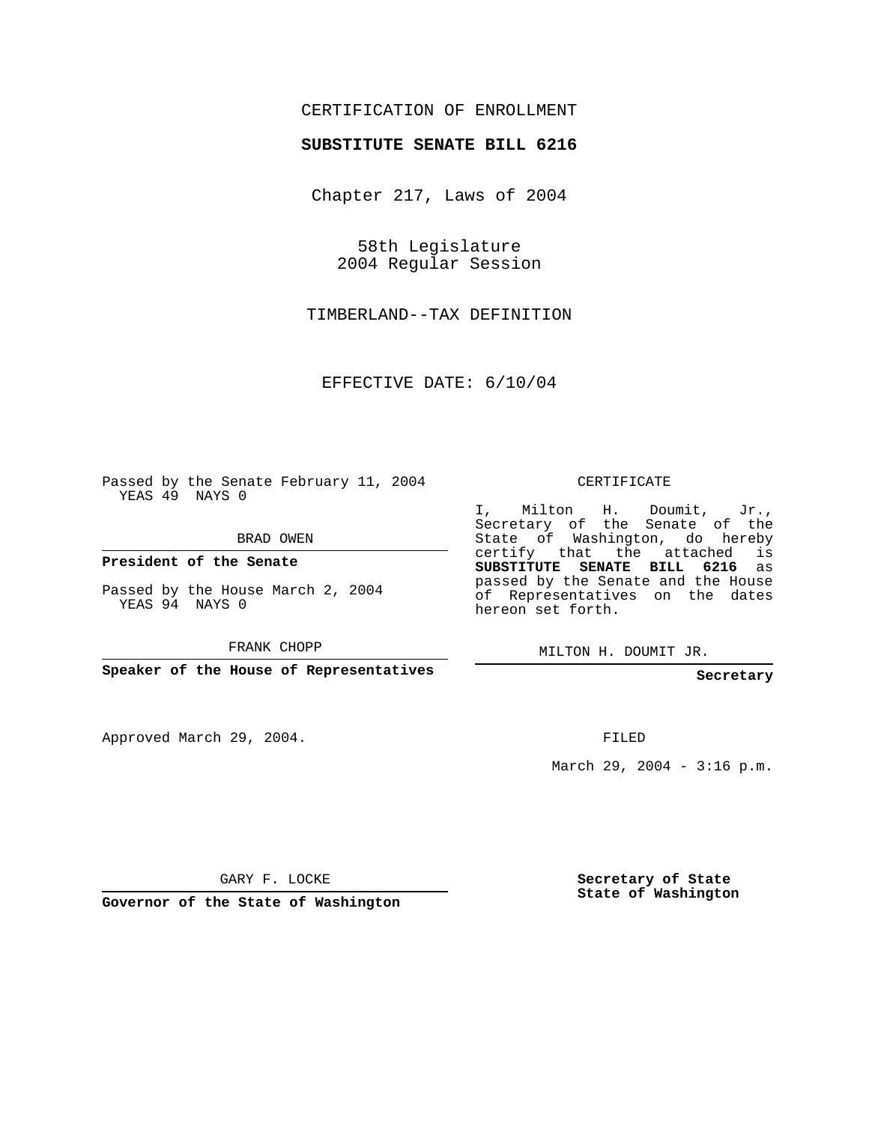## CERTIFICATION OF ENROLLMENT

## **SUBSTITUTE SENATE BILL 6216**

Chapter 217, Laws of 2004

58th Legislature 2004 Regular Session

TIMBERLAND--TAX DEFINITION

EFFECTIVE DATE: 6/10/04

Passed by the Senate February 11, 2004 YEAS 49 NAYS 0

BRAD OWEN

**President of the Senate**

Passed by the House March 2, 2004 YEAS 94 NAYS 0

FRANK CHOPP

**Speaker of the House of Representatives**

Approved March 29, 2004.

CERTIFICATE

I, Milton H. Doumit, Jr., Secretary of the Senate of the State of Washington, do hereby certify that the attached is **SUBSTITUTE SENATE BILL 6216** as passed by the Senate and the House of Representatives on the dates hereon set forth.

MILTON H. DOUMIT JR.

**Secretary**

FILED

March 29, 2004 - 3:16 p.m.

GARY F. LOCKE

**Governor of the State of Washington**

**Secretary of State State of Washington**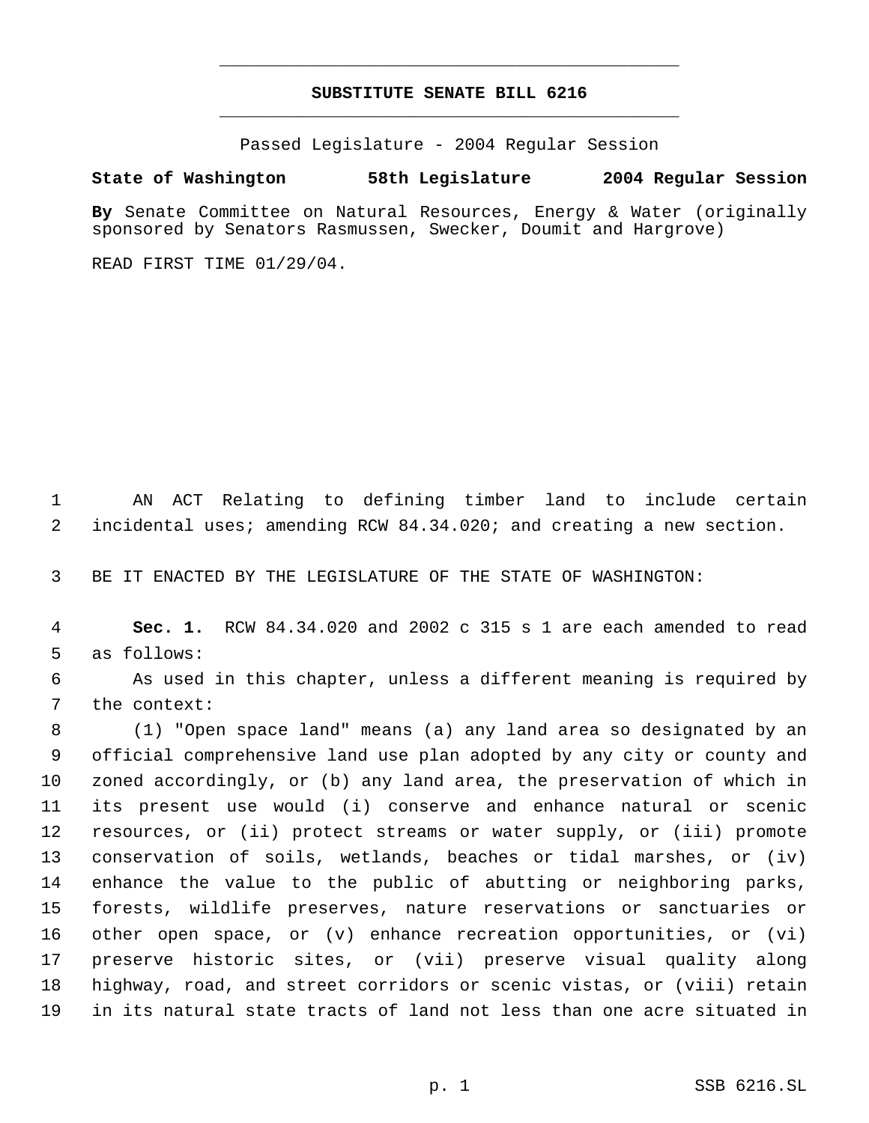## **SUBSTITUTE SENATE BILL 6216** \_\_\_\_\_\_\_\_\_\_\_\_\_\_\_\_\_\_\_\_\_\_\_\_\_\_\_\_\_\_\_\_\_\_\_\_\_\_\_\_\_\_\_\_\_

\_\_\_\_\_\_\_\_\_\_\_\_\_\_\_\_\_\_\_\_\_\_\_\_\_\_\_\_\_\_\_\_\_\_\_\_\_\_\_\_\_\_\_\_\_

Passed Legislature - 2004 Regular Session

## **State of Washington 58th Legislature 2004 Regular Session**

**By** Senate Committee on Natural Resources, Energy & Water (originally sponsored by Senators Rasmussen, Swecker, Doumit and Hargrove)

READ FIRST TIME 01/29/04.

 AN ACT Relating to defining timber land to include certain incidental uses; amending RCW 84.34.020; and creating a new section.

BE IT ENACTED BY THE LEGISLATURE OF THE STATE OF WASHINGTON:

 **Sec. 1.** RCW 84.34.020 and 2002 c 315 s 1 are each amended to read as follows:

 As used in this chapter, unless a different meaning is required by the context:

 (1) "Open space land" means (a) any land area so designated by an official comprehensive land use plan adopted by any city or county and zoned accordingly, or (b) any land area, the preservation of which in its present use would (i) conserve and enhance natural or scenic resources, or (ii) protect streams or water supply, or (iii) promote conservation of soils, wetlands, beaches or tidal marshes, or (iv) enhance the value to the public of abutting or neighboring parks, forests, wildlife preserves, nature reservations or sanctuaries or other open space, or (v) enhance recreation opportunities, or (vi) preserve historic sites, or (vii) preserve visual quality along highway, road, and street corridors or scenic vistas, or (viii) retain in its natural state tracts of land not less than one acre situated in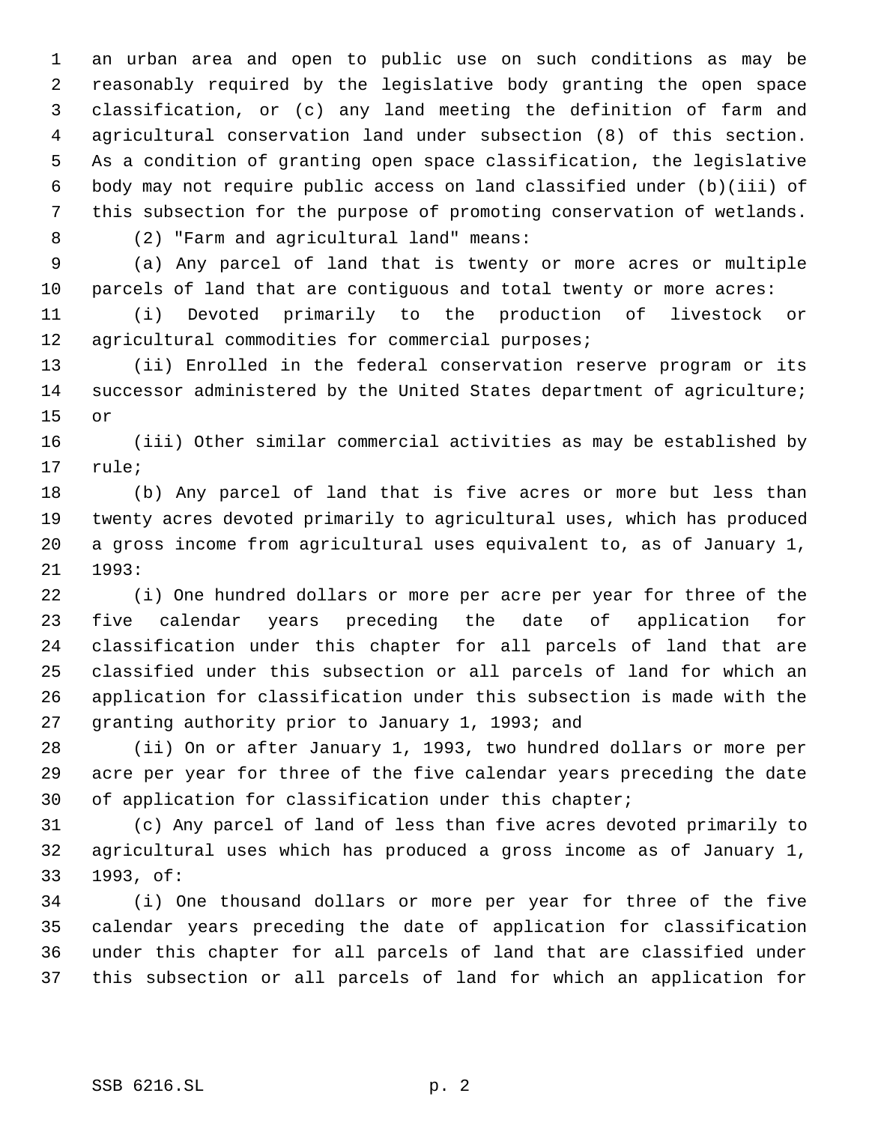an urban area and open to public use on such conditions as may be reasonably required by the legislative body granting the open space classification, or (c) any land meeting the definition of farm and agricultural conservation land under subsection (8) of this section. As a condition of granting open space classification, the legislative body may not require public access on land classified under (b)(iii) of this subsection for the purpose of promoting conservation of wetlands.

(2) "Farm and agricultural land" means:

 (a) Any parcel of land that is twenty or more acres or multiple parcels of land that are contiguous and total twenty or more acres:

 (i) Devoted primarily to the production of livestock or agricultural commodities for commercial purposes;

 (ii) Enrolled in the federal conservation reserve program or its 14 successor administered by the United States department of agriculture; or

 (iii) Other similar commercial activities as may be established by rule;

 (b) Any parcel of land that is five acres or more but less than twenty acres devoted primarily to agricultural uses, which has produced a gross income from agricultural uses equivalent to, as of January 1, 1993:

 (i) One hundred dollars or more per acre per year for three of the five calendar years preceding the date of application for classification under this chapter for all parcels of land that are classified under this subsection or all parcels of land for which an application for classification under this subsection is made with the granting authority prior to January 1, 1993; and

 (ii) On or after January 1, 1993, two hundred dollars or more per acre per year for three of the five calendar years preceding the date of application for classification under this chapter;

 (c) Any parcel of land of less than five acres devoted primarily to agricultural uses which has produced a gross income as of January 1, 1993, of:

 (i) One thousand dollars or more per year for three of the five calendar years preceding the date of application for classification under this chapter for all parcels of land that are classified under this subsection or all parcels of land for which an application for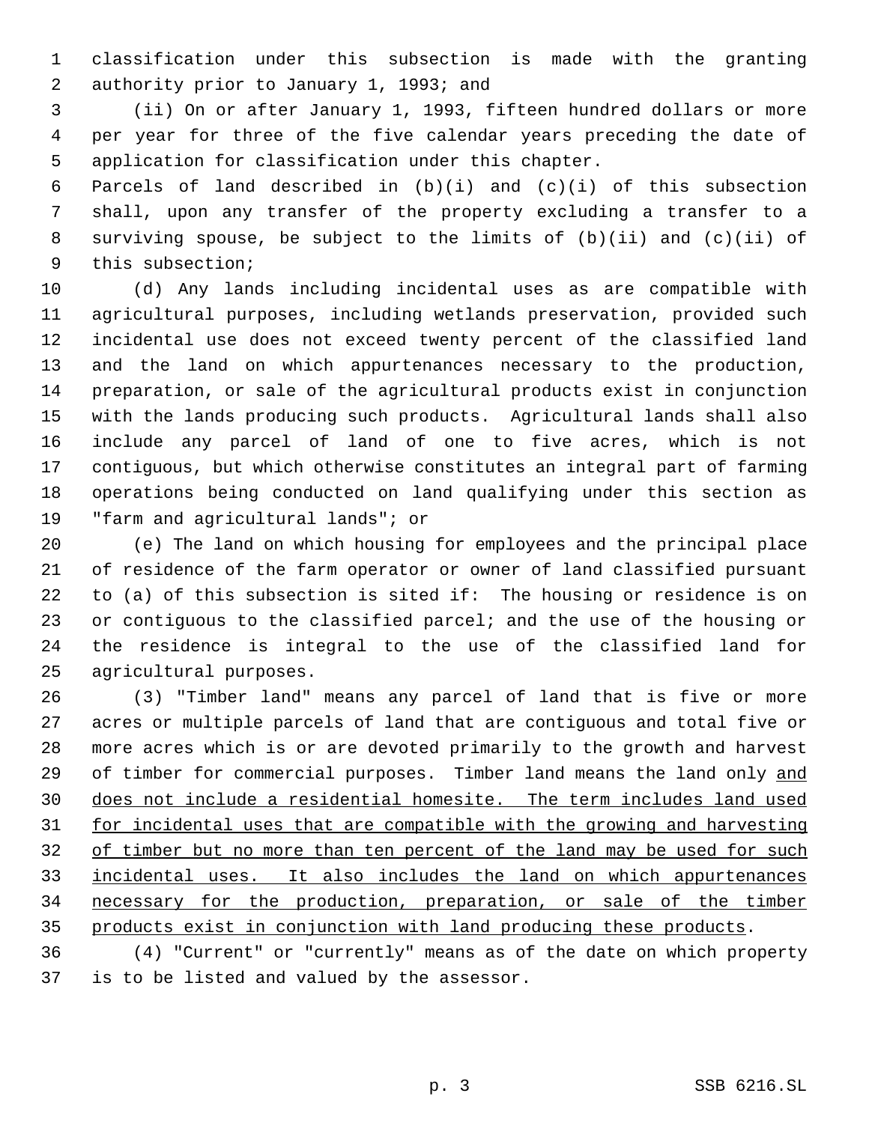classification under this subsection is made with the granting authority prior to January 1, 1993; and

 (ii) On or after January 1, 1993, fifteen hundred dollars or more per year for three of the five calendar years preceding the date of application for classification under this chapter.

 Parcels of land described in (b)(i) and (c)(i) of this subsection shall, upon any transfer of the property excluding a transfer to a surviving spouse, be subject to the limits of (b)(ii) and (c)(ii) of this subsection;

 (d) Any lands including incidental uses as are compatible with agricultural purposes, including wetlands preservation, provided such incidental use does not exceed twenty percent of the classified land and the land on which appurtenances necessary to the production, preparation, or sale of the agricultural products exist in conjunction with the lands producing such products. Agricultural lands shall also include any parcel of land of one to five acres, which is not contiguous, but which otherwise constitutes an integral part of farming operations being conducted on land qualifying under this section as "farm and agricultural lands"; or

 (e) The land on which housing for employees and the principal place of residence of the farm operator or owner of land classified pursuant to (a) of this subsection is sited if: The housing or residence is on or contiguous to the classified parcel; and the use of the housing or the residence is integral to the use of the classified land for agricultural purposes.

 (3) "Timber land" means any parcel of land that is five or more acres or multiple parcels of land that are contiguous and total five or more acres which is or are devoted primarily to the growth and harvest of timber for commercial purposes. Timber land means the land only and does not include a residential homesite. The term includes land used 31 for incidental uses that are compatible with the growing and harvesting 32 of timber but no more than ten percent of the land may be used for such incidental uses. It also includes the land on which appurtenances necessary for the production, preparation, or sale of the timber 35 products exist in conjunction with land producing these products.

 (4) "Current" or "currently" means as of the date on which property is to be listed and valued by the assessor.